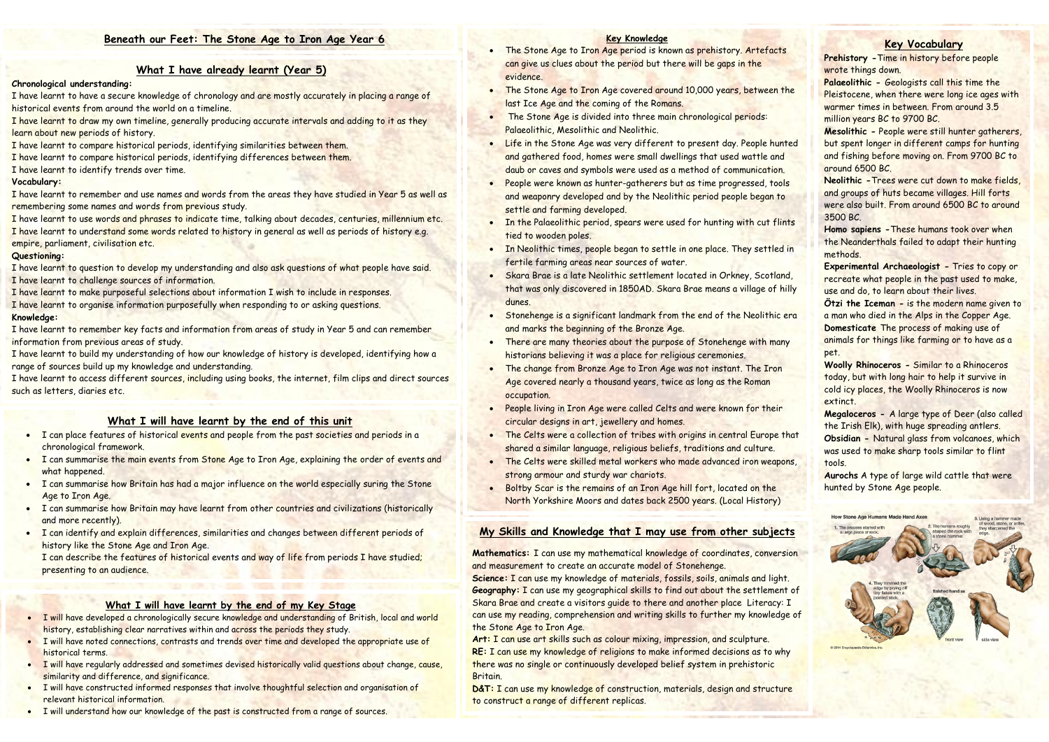## **What I have already learnt (Year 5)**

#### **Chronological understanding:**

I have learnt to have a secure knowledge of chronology and are mostly accurately in placing a range of historical events from around the world on a timeline.

I have learnt to draw my own timeline, generally producing accurate intervals and adding to it as they learn about new periods of history.

I have learnt to compare historical periods, identifying similarities between them.

I have learnt to compare historical periods, identifying differences between them.

I have learnt to use words and phrases to indicate time, talking about decades, centuries, millennium etc. I have learnt to understand some words related to history in general as well as periods of history e.g. empire, parliament, civilisation etc.

I have learnt to identify trends over time.

#### **Vocabulary:**

I have learnt to remember and use names and words from the areas they have studied in Year 5 as well as remembering some names and words from previous study.

#### **Questioning:**

I have learnt to question to develop my understanding and also ask questions of what people have said. I have learnt to challenge sources of information.

I have learnt to make purposeful selections about information I wish to include in responses.

I have learnt to organise information purposefully when responding to or asking questions.

#### **Knowledge:**

I have learnt to remember key facts and information from areas of study in Year 5 and can remember information from previous areas of study.

I have learnt to build my understanding of how our knowledge of history is developed, identifying how a range of sources build up my knowledge and understanding.

I have learnt to access different sources, including using books, the internet, film clips and direct sources such as letters, diaries etc.

## **Key Vocabulary**

**Prehistory -**Time in history before people wrote things down.

**Palaeolithic -** Geologists call this time the Pleistocene, when there were long ice ages with warmer times in between. From around 3.5 million years BC to 9700 BC.

**Mesolithic -** People were still hunter gatherers, but spent longer in different camps for hunting and fishing before moving on. From 9700 BC to around 6500 BC.

**Neolithic -**Trees were cut down to make fields, and groups of huts became villages. Hill forts were also built. From around 6500 BC to around 3500 BC.

**Homo sapiens -**These humans took over when the Neanderthals failed to adapt their hunting methods.

**Experimental Archaeologist -** Tries to copy or recreate what people in the past used to make, use and do, to learn about their lives.

- The Stone Age to Iron Age period is known as prehistory. Artefacts can give us clues about the period but there will be gaps in the evidence.
- The Stone Age to Iron Age covered around 10,000 years, between the last Ice Age and the coming of the Romans.
- The Stone Age is divided into three main chronological periods: Palaeolithic, Mesolithic and Neolithic.
- Life in the Stone Age was very different to present day. People hunted and gathered food, homes were small dwellings that used wattle and daub or caves and symbols were used as a method of communication.
- People were known as hunter-gatherers but as time progressed, tools and weaponry developed and by the Neolithic period people began to settle and farming developed.
- In the Palaeolithic period, spears were used for hunting with cut flints tied to wooden poles.
- In Neolithic times, people began to settle in one place. They settled in fertile farming areas near sources of water.
- Skara Brae is a late Neolithic settlement located in Orkney, Scotland, that was only discovered in 1850AD. Skara Brae means a village of hilly dunes.
- Stonehenge is a significant landmark from the end of the Neolithic era and marks the beginning of the Bronze Age.
- There are many theories about the purpose of Stonehenge with many historians believing it was a place for religious ceremonies.
- The change from Bronze Age to Iron Age was not instant. The Iron Age covered nearly a thousand years, twice as long as the Roman occupation.
- People living in Iron Age were called Celts and were known for their circular designs in art, jewellery and homes.
- The Celts were a collection of tribes with origins in central Europe that shared a similar language, religious beliefs, traditions and culture.
- The Celts were skilled metal workers who made advanced iron weapons, strong armour and sturdy war chariots.
- Boltby Scar is the remains of an Iron Age hill fort, located on the North Yorkshire Moors and dates back 2500 years. (Local History)

**Ötzi the Iceman -** is the modern name given to a man who died in the Alps in the Copper Age. **Domesticate** The process of making use of animals for things like farming or to have as a pet.

**Woolly Rhinoceros -** Similar to a Rhinoceros today, but with long hair to help it survive in cold icy places, the Woolly Rhinoceros is now extinct.

**Megaloceros -** A large type of Deer (also called the Irish Elk), with huge spreading antlers.

I can describe the features of historical events and way of life from periods I have studied; presenting to an audience.

**Obsidian -** Natural glass from volcanoes, which was used to make sharp tools similar to flint tools.

**Aurochs** A type of large wild cattle that were hunted by Stone Age people.



#### **Key Knowledge**

- I will have developed a chronologically secure knowledge and understanding of British, local and world history, establishing clear narratives within and across the periods they study.
- I will have noted connections, contrasts and trends over time and developed the appropriate use of historical terms.
- I will have regularly addressed and sometimes devised historically valid questions about change, cause, similarity and difference, and significance.
- I will have constructed informed responses that involve thoughtful selection and organisation of relevant historical information.
- I will understand how our knowledge of the past is constructed from a range of sources.

Art: I can use art skills such as colour mixing, impression, and sculpture. **RE:** I can use my knowledge of religions to make informed decisions as to why there was no single or continuously developed belief system in prehistoric Britain.

**D&T:** I can use my knowledge of construction, materials, design and structure to construct a range of different replicas.

## **What I will have learnt by the end of this unit**

- I can place features of historical events and people from the past societies and periods in a chronological framework.
- I can summarise the main events from Stone Age to Iron Age, explaining the order of events and what happened.
- I can summarise how Britain has had a major influence on the world especially suring the Stone Age to Iron Age.
- I can summarise how Britain may have learnt from other countries and civilizations (historically and more recently).
- I can identify and explain differences, similarities and changes between different periods of history like the Stone Age and Iron Age.

### **What I will have learnt by the end of my Key Stage**

**My Skills and Knowledge that I may use from other subjects Mathematics:** I can use my mathematical knowledge of coordinates, conversion and measurement to create an accurate model of Stonehenge.

**Science:** I can use my knowledge of materials, fossils, soils, animals and light. **Geography:** I can use my geographical skills to find out about the settlement of Skara Brae and create a visitors guide to there and another place Literacy: I can use my reading, comprehension and writing skills to further my knowledge of the Stone Age to Iron Age.

# **Beneath our Feet: The Stone Age to Iron Age Year 6**